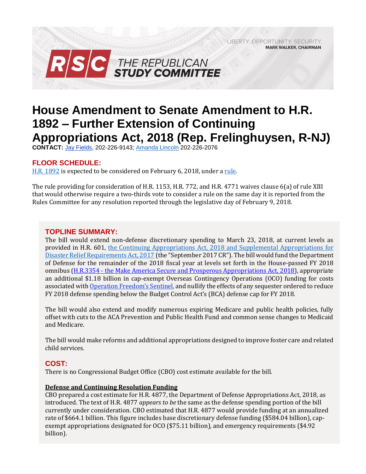LIBERTY, OPPORTUNITY, SECURITY, **MARK WALKER, CHAIRMAN** 



# **House Amendment to Senate Amendment to H.R. 1892 – Further Extension of Continuing Appropriations Act, 2018 (Rep. Frelinghuysen, R-NJ)**

**CONTACT:** Jay [Fields,](mailto:jay.fields@mail.house.gov) 202-226-9143; [Amanda Lincoln](mailto:amanda.lincoln@mail.house.gov) 202-226-2076

# **FLOOR SCHEDULE:**

[H.R. 1892](http://docs.house.gov/billsthisweek/20180205/BILLS-115SAHR1892-RCP115-58.pdf) is expected to be considered on February 6, 2018, under [a rule.](https://rules.house.gov/bill/115/hr-1892-sa)

The rule providing for consideration of H.R. 1153, H.R. 772, and H.R. 4771 waives clause 6(a) of rule XIII that would otherwise require a two-thirds vote to consider a rule on the same day it is reported from the Rules Committee for any resolution reported through the legislative day of February 9, 2018.

# **TOPLINE SUMMARY:**

The bill would extend non-defense discretionary spending to March 23, 2018, at current levels as provided in H.R. 601, [the Continuing Appropriations Act, 2018 and Supplemental Appropriations for](https://gallery.mailchimp.com/d4254037a343b683d142111e0/files/86067b86-49d6-4a66-bc77-1f24be4448e0/RSC_Legislative_Bulletin_HR_601_Hurricane_Supplemental_Debt_Limit_CR_September_8_2017.pdf)  [Disaster Relief Requirements Act, 2017](https://gallery.mailchimp.com/d4254037a343b683d142111e0/files/86067b86-49d6-4a66-bc77-1f24be4448e0/RSC_Legislative_Bulletin_HR_601_Hurricane_Supplemental_Debt_Limit_CR_September_8_2017.pdf) (the "September 2017 CR"). The bill would fund the Department of Defense for the remainder of the 2018 fiscal year at levels set forth in the House-passed FY 2018 omnibus (H.R.3354 - [the Make America Secure and Prosperous Appropriations Act, 2018\)](https://gallery.mailchimp.com/d4254037a343b683d142111e0/files/4e67c277-50bc-4fd4-8241-fab338671ebd/RSC_Legislative_Bulletin_HR_3354_Make_America_Secure_and_Prosperous_Appropriations_Act_2018_September_6_2017.pdf), appropriate an additional \$1.18 billion in cap-exempt Overseas Contingency Operations (OCO) funding for costs associated with Op[eration Freedom's Sentinel](https://oig.state.gov/system/files/lig_oco_ofs_mar2017_508_1.pdf), and nullify the effects of any sequester ordered to reduce FY 2018 defense spending below the Budget Control Act's (BCA) defense cap for FY 2018.

The bill would also extend and modify numerous expiring Medicare and public health policies, fully offset with cuts to the ACA Prevention and Public Health Fund and common sense changes to Medicaid and Medicare.

The bill would make reforms and additional appropriations designed to improve foster care and related child services.

# **COST:**

There is no Congressional Budget Office (CBO) cost estimate available for the bill.

## **Defense and Continuing Resolution Funding**

CBO prepared a cost estimate for H.R. 4877, the Department of Defense Appropriations Act, 2018, as introduced. The text of H.R. 4877 *appears to be* the same as the defense spending portion of the bill currently under consideration. CBO estimated that H.R. 4877 would provide funding at an annualized rate of \$664.1 billion. This figure includes base discretionary defense funding (\$584.04 billion), capexempt appropriations designated for OCO (\$75.11 billion), and emergency requirements (\$4.92 billion).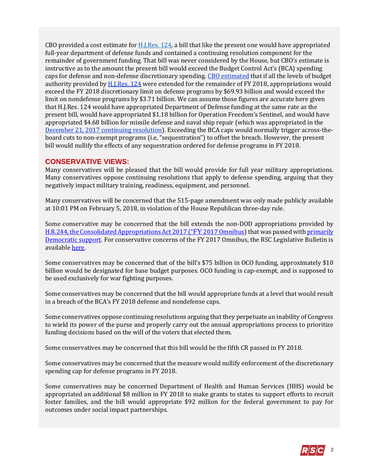CBO provided a cost estimate for  $H.I. Res. 124$ , a bill that like the present one would have appropriated full-year department of defense funds and contained a continuing resolution component for the remainder of government funding. That bill was never considered by the House, but CBO's estimate is instructive as to the amount the present bill would exceed the Budget Control Act's (BCA) spending caps for defense and non-defense discretionary spending. [CBO estimated](https://www.cbo.gov/system/files/115th-congress-2017-2018/costestimate/hjres124_0.pdf) that if all the levels of budget authority provided by [H.J.Res. 124](https://www.congress.gov/113/bills/hjres124/BILLS-113hjres124ih.pdf) were extended for the remainder of FY 2018, appropriations would exceed the FY 2018 discretionary limit on defense programs by \$69.93 billion and would exceed the limit on nondefense programs by \$3.71 billion. We can assume those figures are accurate here given that H.J.Res. 124 would have appropriated Department of Defense funding at the same rate as the present bill, would have appropriated \$1.18 billion for Operation Freedom's Sentinel, and would have appropriated \$4.68 billion for missile defense and naval ship repair (which was appropriated in the [December 21, 2017 continuing resolution\)](https://gallery.mailchimp.com/d4254037a343b683d142111e0/files/a56b88ed-0bc9-41df-befa-47f620eb0091/LB_Continuing_Resolution_Dec_22_FINAL.01.pdf). Exceeding the BCA caps would normally trigger across-theboard cuts to non-exempt programs (i.e, "sequestration") to offset the breach. However, the present bill would nullify the effects of any sequestration ordered for defense programs in FY 2018.

## **CONSERVATIVE VIEWS:**

Many conservatives will be pleased that the bill would provide for full year military appropriations. Many conservatives oppose continuing resolutions that apply to defense spending, arguing that they negatively impact military training, readiness, equipment, and personnel.

Many conservatives will be concerned that the 515-page amendment was only made publicly available at 10:01 PM on February 5, 2018, in violation of the House Republican three-day rule.

Some conservative may be concerned that the bill extends the non-DOD appropriations provided by [H.R.244, the Consolidated Appropriations Act 2017 \("](http://rsc.walker.house.gov/files/2017LB/RSC_Legislative_Bulletin_HR_244_FY_2017_Omnibus_May_3_2017.pdf)FY [2017 Omnibus\)](http://rsc.walker.house.gov/files/2017LB/RSC_Legislative_Bulletin_HR_244_FY_2017_Omnibus_May_3_2017.pdf) that was passed wit[h primarily](http://clerk.house.gov/evs/2017/roll249.xml)  [Democratic support.](http://clerk.house.gov/evs/2017/roll249.xml) For conservative concerns of the FY 2017 Omnibus, the RSC Legislative Bulletin is available [here.](https://gallery.mailchimp.com/d4254037a343b683d142111e0/files/86067b86-49d6-4a66-bc77-1f24be4448e0/RSC_Legislative_Bulletin_HR_601_Hurricane_Supplemental_Debt_Limit_CR_September_8_2017.pdf)

Some conservatives may be concerned that of the bill's \$75 billion in OCO funding, approximately \$10 billion would be designated for base budget purposes. OCO funding is cap-exempt, and is supposed to be used exclusively for war fighting purposes.

Some conservatives may be concerned that the bill would appropriate funds at a level that would result in a breach of the BCA's FY 2018 defense and nondefense caps.

Some conservatives oppose continuing resolutions arguing that they perpetuate an inability of Congress to wield its power of the purse and properly carry out the annual appropriations process to prioritize funding decisions based on the will of the voters that elected them.

Some conservatives may be concerned that this bill would be the fifth CR passed in FY 2018.

Some conservatives may be concerned that the measure would nullify enforcement of the discretionary spending cap for defense programs in FY 2018.

Some conservatives may be concerned Department of Health and Human Services (HHS) would be appropriated an additional \$8 million in FY 2018 to make grants to states to support efforts to recruit foster families, and the bill would appropriate \$92 million for the federal government to pay for outcomes under social impact partnerships.

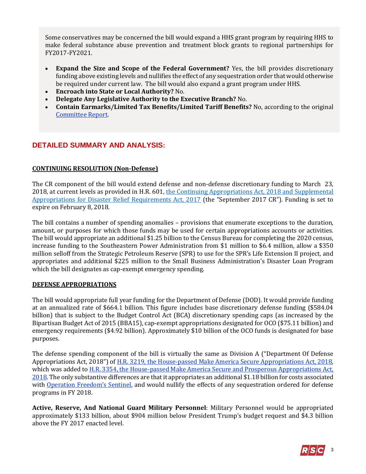Some conservatives may be concerned the bill would expand a HHS grant program by requiring HHS to make federal substance abuse prevention and treatment block grants to regional partnerships for FY2017-FY2021.

- **Expand the Size and Scope of the Federal Government?** Yes, the bill provides discretionary funding above existing levels and nullifies the effect of any sequestration order that would otherwise be required under current law. The bill would also expand a grant program under HHS.
- **Encroach into State or Local Authority?** No.
- **Delegate Any Legislative Authority to the Executive Branch?** No.
- **Contain Earmarks/Limited Tax Benefits/Limited Tariff Benefits?** No, according to the original [Committee Report.](https://www.gpo.gov/fdsys/pkg/CRPT-115hrpt219/pdf/CRPT-115hrpt219.pdf#page=348)

# **DETAILED SUMMARY AND ANALYSIS:**

#### **CONTINUING RESOLUTION (Non-Defense)**

The CR component of the bill would extend defense and non-defense discretionary funding to March 23, 2018, at current levels as provided in H.R. 601, the Continuing Appropriations Act, 2018 and Supplemental [Appropriations for Disaster Relief Requirements Act, 2017](https://gallery.mailchimp.com/d4254037a343b683d142111e0/files/86067b86-49d6-4a66-bc77-1f24be4448e0/RSC_Legislative_Bulletin_HR_601_Hurricane_Supplemental_Debt_Limit_CR_September_8_2017.pdf) (the "September 2017 CR"). Funding is set to expire on February 8, 2018.

The bill contains a number of spending anomalies – provisions that enumerate exceptions to the duration, amount, or purposes for which those funds may be used for certain appropriations accounts or activities. The bill would appropriate an additional \$1.25 billion to the Census Bureau for completing the 2020 census, increase funding to the Southeastern Power Administration from \$1 million to \$6.4 million, allow a \$350 million selloff from the Strategic Petroleum Reserve (SPR) to use for the SPR's Life Extension II project, and appropriates and additional \$225 million to the Small Business Administration's Disaster Loan Program which the bill designates as cap-exempt emergency spending.

#### **DEFENSE APPROPRIATIONS**

The bill would appropriate full year funding for the Department of Defense (DOD). It would provide funding at an annualized rate of \$664.1 billion. This figure includes base discretionary defense funding (\$584.04 billion) that is subject to the Budget Control Act (BCA) discretionary spending caps (as increased by the Bipartisan Budget Act of 2015 (BBA15), cap-exempt appropriations designated for OCO (\$75.11 billion) and emergency requirements (\$4.92 billion). Approximately \$10 billion of the OCO funds is designated for base purposes.

The defense spending component of the bill is virtually the same as Division A ("Department Of Defense Appropriations Act, 2018") of [H.R. 3219, the House-passed Make America Secure Appropriations Act, 2018,](https://gallery.mailchimp.com/d4254037a343b683d142111e0/files/b0a7e453-197a-4dac-8b10-8ad4564244f8/RSC_Legislative_Bulletin_HR_3219_Make_America_Secure_Appropriations_Act_2018_July_26_2017.pdf) which was added t[o H.R. 3354, the House-passed Make America Secure and Prosperous Appropriations Act,](https://gallery.mailchimp.com/d4254037a343b683d142111e0/files/4e67c277-50bc-4fd4-8241-fab338671ebd/RSC_Legislative_Bulletin_HR_3354_Make_America_Secure_and_Prosperous_Appropriations_Act_2018_September_6_2017.pdf)  [2018.](https://gallery.mailchimp.com/d4254037a343b683d142111e0/files/4e67c277-50bc-4fd4-8241-fab338671ebd/RSC_Legislative_Bulletin_HR_3354_Make_America_Secure_and_Prosperous_Appropriations_Act_2018_September_6_2017.pdf) The only substantive differences are that it appropriates an additional \$1.18 billion for costs associated with [Operation Freedom's Sentinel](https://oig.state.gov/system/files/lig_oco_ofs_mar2017_508_1.pdf), and would nullify the effects of any sequestration ordered for defense programs in FY 2018.

**Active, Reserve, And National Guard Military Personnel**: Military Personnel would be appropriated approximately \$133 billion, about \$904 million below President Trump's budget request and \$4.3 billion above the FY 2017 enacted level.

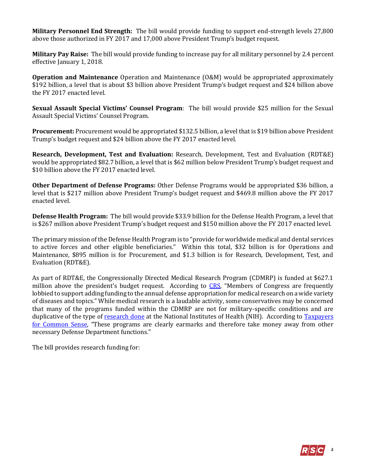**Military Personnel End Strength:** The bill would provide funding to support end-strength levels 27,800 above those authorized in FY 2017 and 17,000 above President Trump's budget request.

**Military Pay Raise:** The bill would provide funding to increase pay for all military personnel by 2.4 percent effective January 1, 2018.

**Operation and Maintenance** Operation and Maintenance (O&M) would be appropriated approximately \$192 billion, a level that is about \$3 billion above President Trump's budget request and \$24 billion above the FY 2017 enacted level.

**Sexual Assault Special Victims' Counsel Program**: The bill would provide \$25 million for the Sexual Assault Special Victims' Counsel Program.

**Procurement:** Procurement would be appropriated \$132.5 billion, a level that is \$19 billion above President Trump's budget request and \$24 billion above the FY 2017 enacted level.

**Research, Development, Test and Evaluation:** Research, Development, Test and Evaluation (RDT&E) would be appropriated \$82.7 billion, a level that is \$62 million below President Trump's budget request and \$10 billion above the FY 2017 enacted level.

**Other Department of Defense Programs:** Other Defense Programs would be appropriated \$36 billion, a level that is \$217 million above President Trump's budget request and \$469.8 million above the FY 2017 enacted level.

**Defense Health Program:** The bill would provide \$33.9 billion for the Defense Health Program, a level that is \$267 million above President Trump's budget request and \$150 million above the FY 2017 enacted level.

The primary mission of the Defense Health Program is to "provide for worldwide medical and dental services to active forces and other eligible beneficiaries." Within this total, \$32 billion is for Operations and Maintenance, \$895 million is for Procurement, and \$1.3 billion is for Research, Development, Test, and Evaluation (RDT&E).

As part of RDT&E, the Congressionally Directed Medical Research Program (CDMRP) is funded at \$627.1 million above the president's budget request. According to [CRS](http://www.crs.gov/Reports/IF10349?source=search&guid=0e87c51078bc4599ab29d3c961428341&index=0), "Members of Congress are frequently lobbied to support adding funding to the annual defense appropriation for medical research on a wide variety of diseases and topics." While medical research is a laudable activity, some conservatives may be concerned that many of the programs funded within the CDMRP are not for military-specific conditions and are duplicative of the type of [research done](https://report.nih.gov/categorical_spending.aspx) at the National Institutes of Health (NIH). According to [Taxpayers](http://public.cq.com/docs/weeklyreport/weeklyreport-000004132596.html)  [for Common Sense](http://public.cq.com/docs/weeklyreport/weeklyreport-000004132596.html), "These programs are clearly earmarks and therefore take money away from other necessary Defense Department functions."

The bill provides research funding for:

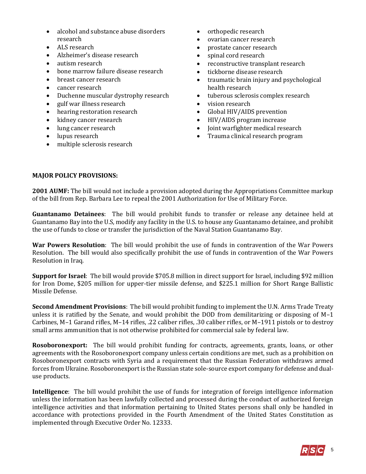- alcohol and substance abuse disorders research
- ALS research
- Alzheimer's disease research
- autism research
- bone marrow failure disease research
- breast cancer research
- cancer research
- Duchenne muscular dystrophy research
- gulf war illness research
- hearing restoration research
- kidney cancer research
- lung cancer research
- lupus research
- multiple sclerosis research
- orthopedic research
- ovarian cancer research
- prostate cancer research
- spinal cord research
- reconstructive transplant research
- tickborne disease research
- traumatic brain injury and psychological health research
- tuberous sclerosis complex research
- vision research
- Global HIV/AIDS prevention
- HIV/AIDS program increase
- Joint warfighter medical research
- Trauma clinical research program

#### **MAJOR POLICY PROVISIONS:**

**2001 AUMF:** The bill would not include a provision adopted during the Appropriations Committee markup of the bill from Rep. Barbara Lee to repeal the 2001 Authorization for Use of Military Force.

**Guantanamo Detainees**: The bill would prohibit funds to transfer or release any detainee held at Guantanamo Bay into the U.S, modify any facility in the U.S. to house any Guantanamo detainee, and prohibit the use of funds to close or transfer the jurisdiction of the Naval Station Guantanamo Bay.

**War Powers Resolution**: The bill would prohibit the use of funds in contravention of the War Powers Resolution. The bill would also specifically prohibit the use of funds in contravention of the War Powers Resolution in Iraq.

**Support for Israel**: The bill would provide \$705.8 million in direct support for Israel, including \$92 million for Iron Dome, \$205 million for upper-tier missile defense, and \$225.1 million for Short Range Ballistic Missile Defense.

**Second Amendment Provisions**: The bill would prohibit funding to implement the U.N. Arms Trade Treaty unless it is ratified by the Senate, and would prohibit the DOD from demilitarizing or disposing of M–1 Carbines, M–1 Garand rifles, M–14 rifles, .22 caliber rifles, .30 caliber rifles, or M–1911 pistols or to destroy small arms ammunition that is not otherwise prohibited for commercial sale by federal law.

**Rosoboronexport:** The bill would prohibit funding for contracts, agreements, grants, loans, or other agreements with the Rosoboronexport company unless certain conditions are met, such as a prohibition on Rosoboronexport contracts with Syria and a requirement that the Russian Federation withdraws armed forces from Ukraine. Rosoboronexport is the Russian state sole-source export company for defense and dualuse products.

**Intelligence**: The bill would prohibit the use of funds for integration of foreign intelligence information unless the information has been lawfully collected and processed during the conduct of authorized foreign intelligence activities and that information pertaining to United States persons shall only be handled in accordance with protections provided in the Fourth Amendment of the United States Constitution as implemented through Executive Order No. 12333.

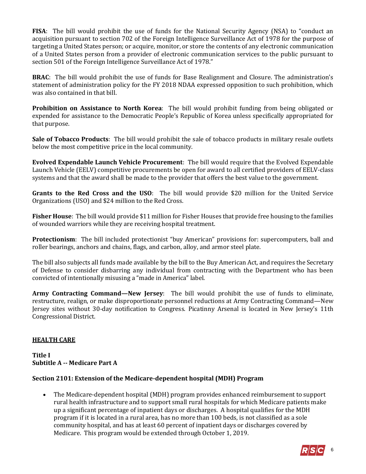**FISA**: The bill would prohibit the use of funds for the National Security Agency (NSA) to "conduct an acquisition pursuant to section 702 of the Foreign Intelligence Surveillance Act of 1978 for the purpose of targeting a United States person; or acquire, monitor, or store the contents of any electronic communication of a United States person from a provider of electronic communication services to the public pursuant to section 501 of the Foreign Intelligence Surveillance Act of 1978."

**BRAC**: The bill would prohibit the use of funds for Base Realignment and Closure. The administration's statement of administration policy for the FY 2018 NDAA expressed opposition to such prohibition, which was also contained in that bill.

**Prohibition on Assistance to North Korea**: The bill would prohibit funding from being obligated or expended for assistance to the Democratic People's Republic of Korea unless specifically appropriated for that purpose.

**Sale of Tobacco Products**: The bill would prohibit the sale of tobacco products in military resale outlets below the most competitive price in the local community.

**Evolved Expendable Launch Vehicle Procurement**: The bill would require that the Evolved Expendable Launch Vehicle (EELV) competitive procurements be open for award to all certified providers of EELV-class systems and that the award shall be made to the provider that offers the best value to the government.

**Grants to the Red Cross and the USO**: The bill would provide \$20 million for the United Service Organizations (USO) and \$24 million to the Red Cross.

**Fisher House**: The bill would provide \$11 million for Fisher Houses that provide free housing to the families of wounded warriors while they are receiving hospital treatment.

**Protectionism**: The bill included protectionist "buy American" provisions for: supercomputers, ball and roller bearings, anchors and chains, flags, and carbon, alloy, and armor steel plate.

The bill also subjects all funds made available by the bill to the Buy American Act, and requires the Secretary of Defense to consider disbarring any individual from contracting with the Department who has been convicted of intentionally misusing a "made in America" label.

**Army Contracting Command—New Jersey**: The bill would prohibit the use of funds to eliminate, restructure, realign, or make disproportionate personnel reductions at Army Contracting Command—New Jersey sites without 30-day notification to Congress. Picatinny Arsenal is located in New Jersey's 11th Congressional District.

## **HEALTH CARE**

# **Title I Subtitle A -- Medicare Part A**

## **Section 2101: Extension of the Medicare-dependent hospital (MDH) Program**

 The Medicare-dependent hospital (MDH) program provides enhanced reimbursement to support rural health infrastructure and to support small rural hospitals for which Medicare patients make up a significant percentage of inpatient days or discharges. A hospital qualifies for the MDH program if it is located in a rural area, has no more than 100 beds, is not classified as a sole community hospital, and has at least 60 percent of inpatient days or discharges covered by Medicare. This program would be extended through October 1, 2019.

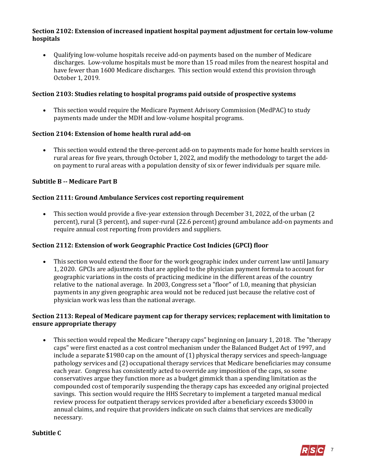## **Section 2102: Extension of increased inpatient hospital payment adjustment for certain low-volume hospitals**

 Qualifying low-volume hospitals receive add-on payments based on the number of Medicare discharges. Low-volume hospitals must be more than 15 road miles from the nearest hospital and have fewer than 1600 Medicare discharges. This section would extend this provision through October 1, 2019.

## **Section 2103: Studies relating to hospital programs paid outside of prospective systems**

 This section would require the Medicare Payment Advisory Commission (MedPAC) to study payments made under the MDH and low-volume hospital programs.

## **Section 2104: Extension of home health rural add-on**

 This section would extend the three-percent add-on to payments made for home health services in rural areas for five years, through October 1, 2022, and modify the methodology to target the addon payment to rural areas with a population density of six or fewer individuals per square mile.

#### **Subtitle B -- Medicare Part B**

#### **Section 2111: Ground Ambulance Services cost reporting requirement**

 This section would provide a five-year extension through December 31, 2022, of the urban (2 percent), rural (3 percent), and super-rural (22.6 percent) ground ambulance add-on payments and require annual cost reporting from providers and suppliers.

## **Section 2112: Extension of work Geographic Practice Cost Indicies (GPCI) floor**

 This section would extend the floor for the work geographic index under current law until January 1, 2020. GPCIs are adjustments that are applied to the physician payment formula to account for geographic variations in the costs of practicing medicine in the different areas of the country relative to the national average. In 2003, Congress set a "floor" of 1.0, meaning that physician payments in any given geographic area would not be reduced just because the relative cost of physician work was less than the national average.

#### **Section 2113: Repeal of Medicare payment cap for therapy services; replacement with limitation to ensure appropriate therapy**

 This section would repeal the Medicare "therapy caps" beginning on January 1, 2018. The "therapy caps" were first enacted as a cost control mechanism under the Balanced Budget Act of 1997, and include a separate \$1980 cap on the amount of (1) physical therapy services and speech-language pathology services and (2) occupational therapy services that Medicare beneficiaries may consume each year. Congress has consistently acted to override any imposition of the caps, so some conservatives argue they function more as a budget gimmick than a spending limitation as the compounded cost of temporarily suspending the therapy caps has exceeded any original projected savings. This section would require the HHS Secretary to implement a targeted manual medical review process for outpatient therapy services provided after a beneficiary exceeds \$3000 in annual claims, and require that providers indicate on such claims that services are medically necessary.

#### **Subtitle C**

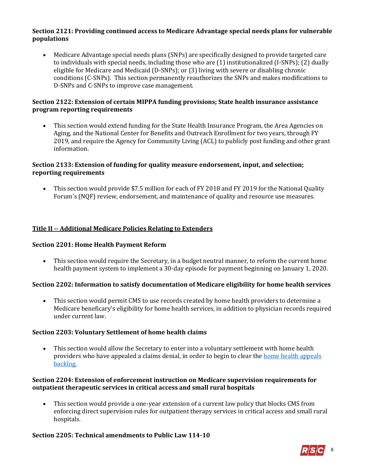## **Section 2121: Providing continued access to Medicare Advantage special needs plans for vulnerable populations**

 Medicare Advantage special needs plans (SNPs) are specifically designed to provide targeted care to individuals with special needs, including those who are (1) institutionalized (I-SNPs); (2) dually eligible for Medicare and Medicaid (D-SNPs); or (3) living with severe or disabling chronic conditions (C-SNPs). This section permanently reauthorizes the SNPs and makes modifications to D-SNPs and C-SNPs to improve case management.

## **Section 2122: Extension of certain MIPPA funding provisions; State health insurance assistance program reporting requirements**

 This section would extend funding for the State Health Insurance Program, the Area Agencies on Aging, and the National Center for Benefits and Outreach Enrollment for two years, through FY 2019, and require the Agency for Community Living (ACL) to publicly post funding and other grant information.

# **Section 2133: Extension of funding for quality measure endorsement, input, and selection; reporting requirements**

 This section would provide \$7.5 million for each of FY 2018 and FY 2019 for the National Quality Forum's (NQF) review, endorsement, and maintenance of quality and resource use measures.

# **Title II -- Additional Medicare Policies Relating to Extenders**

## **Section 2201: Home Health Payment Reform**

 This section would require the Secretary, in a budget neutral manner, to reform the current home health payment system to implement a 30-day episode for payment beginning on January 1, 2020.

## **Section 2202: Information to satisfy documentation of Medicare eligibility for home health services**

 This section would permit CMS to use records created by home health providers to determine a Medicare beneficary's eligibility for home health services, in addition to physician records required under current law.

## **Section 2203: Voluntary Settlement of home health claims**

 This section would allow the Secretary to enter into a voluntary settlement with home health providers who have appealed a claims denial, in order to begin to clear the [home health appeals](file:///C:/Users/alincoln/AppData/Local/Microsoft/Windows/INetCache/Content.Outlook/5GYURKOT/Section%2020%205:%20Extension%20of%20the%20Medicare%20-%20Dependent%20Hospital%20(MDH)%20Program%20%20§%20The%20Medicare%20%20Dependent%20Hospital%20%20(MDH)%20%20program%20%20provides%20%20enhanced%20%20reimbursement%20to%20%20support%20%20rural%20%20health%20%20infrastructure%20%20and%20%20to%20%20support%20%20small%20%20rural%20%20hos%20pitals%20%20for%20%20which%20%20Medicare%20%20patients%20%20make%20%20up%20%20a%20%20significant%20%20percentage%20%20of%20%20inpatient%20%20days%20%20or%20%20discharges.%20%20A%20%20hospital%20%20qualifies%20%20for%20%20the%20%20MDH%20%20program%20%20if%20%20it%20%20is%20%20located%20%20in%20%20a%20%20rural%20%20area,%20%20has%20%20no%20more%20%20than%20%20100%20%20beds,%20%20is%20%20not%20%20classified%20%20as%20a%20%20s%20ole%20%20c%20ommunity%20%20h%20ospital,%20%20and%20%20h%20as%20%20at%20%20least%20%2060%20%20percent%20%20of%20%20inpatient%20%20days%20%20or%20%20discharges%20%20covered%20%20by%20%20Medicare.%20%20This%20%20program%20%20would%20%20be%20%20extended%20through%20%20October%201,%202017%20.)  [backlog.](file:///C:/Users/alincoln/AppData/Local/Microsoft/Windows/INetCache/Content.Outlook/5GYURKOT/Section%2020%205:%20Extension%20of%20the%20Medicare%20-%20Dependent%20Hospital%20(MDH)%20Program%20%20§%20The%20Medicare%20%20Dependent%20Hospital%20%20(MDH)%20%20program%20%20provides%20%20enhanced%20%20reimbursement%20to%20%20support%20%20rural%20%20health%20%20infrastructure%20%20and%20%20to%20%20support%20%20small%20%20rural%20%20hos%20pitals%20%20for%20%20which%20%20Medicare%20%20patients%20%20make%20%20up%20%20a%20%20significant%20%20percentage%20%20of%20%20inpatient%20%20days%20%20or%20%20discharges.%20%20A%20%20hospital%20%20qualifies%20%20for%20%20the%20%20MDH%20%20program%20%20if%20%20it%20%20is%20%20located%20%20in%20%20a%20%20rural%20%20area,%20%20has%20%20no%20more%20%20than%20%20100%20%20beds,%20%20is%20%20not%20%20classified%20%20as%20a%20%20s%20ole%20%20c%20ommunity%20%20h%20ospital,%20%20and%20%20h%20as%20%20at%20%20least%20%2060%20%20percent%20%20of%20%20inpatient%20%20days%20%20or%20%20discharges%20%20covered%20%20by%20%20Medicare.%20%20This%20%20program%20%20would%20%20be%20%20extended%20through%20%20October%201,%202017%20.)

#### **Section 2204: Extension of enforcement instruction on Medicare supervision requirements for outpatient therapeutic services in critical access and small rural hospitals**

 This section would provide a one-year extension of a current law policy that blocks CMS from enforcing direct supervision rules for outpatient therapy services in critical access and small rural hospitals.

#### **Section 2205: Technical amendments to Public Law 114-10**

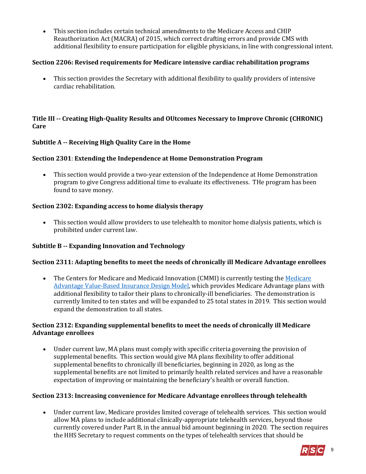This section includes certain technical amendments to the Medicare Access and CHIP Reauthorization Act (MACRA) of 2015, which correct drafting errors and provide CMS with additional flexibility to ensure participation for eligible physicians, in line with congressional intent.

## **Section 2206: Revised requirements for Medicare intensive cardiac rehabilitation programs**

 This section provides the Secretary with additional flexibility to qualify providers of intensive cardiac rehabilitation.

## **Title III -- Creating High-Quality Results and OUtcomes Necessary to Improve Chronic (CHRONIC) Care**

## **Subtitle A -- Receiving High Quality Care in the Home**

## **Section 2301**: **Extending the Independence at Home Demonstration Program**

 This section would provide a two-year extension of the Independence at Home Demonstration program to give Congress additional time to evaluate its effectiveness. THe program has been found to save money.

## **Section 2302: Expanding access to home dialysis therapy**

 This section would allow providers to use telehealth to monitor home dialysis patients, which is prohibited under current law.

## **Subtitle B -- Expanding Innovation and Technology**

#### **Section 2311: Adapting benefits to meet the needs of chronically ill Medicare Advantage enrollees**

• The Centers for [Medicare](https://innovation.cms.gov/initiatives/vbid/) and Medicaid Innovation (CMMI) is currently testing the Medicare [Advantage Value-Based Insurance Design Model,](https://innovation.cms.gov/initiatives/vbid/) which provides Medicare Advantage plans with additional flexibility to tailor their plans to chronically-ill beneficiaries. The demonstration is currently limited to ten states and will be expanded to 25 total states in 2019. This section would expand the demonstration to all states.

#### **Section 2312: Expanding supplemental benefits to meet the needs of chronically ill Medicare Advantage enrollees**

 Under current law, MA plans must comply with specific criteria governing the provision of supplemental benefits. This section would give MA plans flexibility to offer additional supplemental benefits to chronically ill beneficiaries, beginning in 2020, as long as the supplemental benefits are not limited to primarily health related services and have a reasonable expectation of improving or maintaining the beneficiary's health or overall function.

#### **Section 2313: Increasing convenience for Medicare Advantage enrollees through telehealth**

 Under current law, Medicare provides limited coverage of telehealth services. This section would allow MA plans to include additional clinically-appropriate telehealth services, beyond those currently covered under Part B, in the annual bid amount beginning in 2020. The section requires the HHS Secretary to request comments on the types of telehealth services that should be

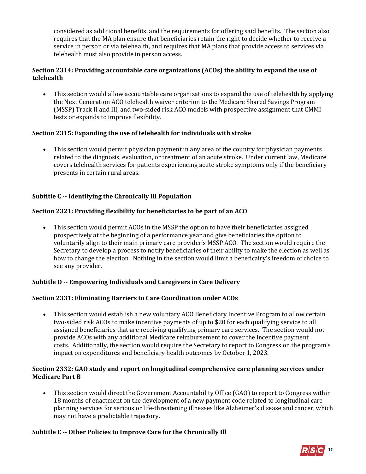considered as additional benefits, and the requirements for offering said benefits. The section also requires that the MA plan ensure that beneficiaries retain the right to decide whether to receive a service in person or via telehealth, and requires that MA plans that provide access to services via telehealth must also provide in person access.

# **Section 2314: Providing accountable care organizations (ACOs) the ability to expand the use of telehealth**

 This section would allow accountable care organizations to expand the use of telehealth by applying the Next Generation ACO telehealth waiver criterion to the Medicare Shared Savings Program (MSSP) Track II and III, and two-sided risk ACO models with prospective assignment that CMMI tests or expands to improve flexibility.

# **Section 2315: Expanding the use of telehealth for individuals with stroke**

 This section would permit physician payment in any area of the country for physician payments related to the diagnosis, evaluation, or treatment of an acute stroke. Under current law, Medicare covers telehealth services for patients experiencing acute stroke symptoms only if the beneficiary presents in certain rural areas.

# **Subtitle C -- Identifying the Chronically Ill Population**

## **Section 2321: Providing flexibility for beneficiaries to be part of an ACO**

 This section would permit ACOs in the MSSP the option to have their beneficiaries assigned prospectively at the beginning of a performance year and give beneficiaries the option to voluntarily align to their main primary care provider's MSSP ACO. The section would require the Secretary to develop a process to notify beneficiaries of their ability to make the election as well as how to change the election. Nothing in the section would limit a beneficairy's freedom of choice to see any provider.

## **Subtitle D -- Empowering Individuals and Caregivers in Care Delivery**

## **Section 2331: Eliminating Barriers to Care Coordination under ACOs**

 This section would establish a new voluntary ACO Beneficiary Incentive Program to allow certain two-sided risk ACOs to make incentive payments of up to \$20 for each qualifying service to all assigned beneficiaries that are receiving qualifying primary care services. The section would not provide ACOs with any additional Medicare reimbursement to cover the incentive payment costs. Additionally, the section would require the Secretary to report to Congress on the program's impact on expenditures and beneficiary health outcomes by October 1, 2023.

## **Section 2332: GAO study and report on longitudinal comprehensive care planning services under Medicare Part B**

 This section would direct the Government Accountability Office (GAO) to report to Congress within 18 months of enactment on the development of a new payment code related to longitudinal care planning services for serious or life-threatening illnesses like Alzheimer's disease and cancer, which may not have a predictable trajectory.

## **Subtitle E -- Other Policies to Improve Care for the Chronically Ill**

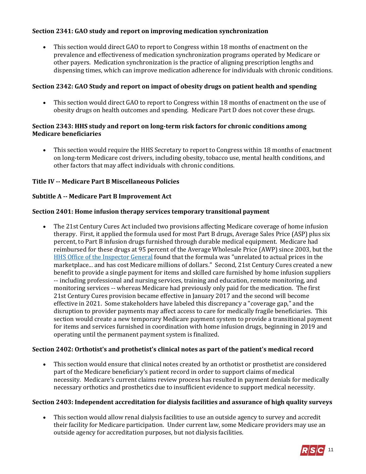# **Section 2341: GAO study and report on improving medication synchronization**

 This section would direct GAO to report to Congress within 18 months of enactment on the prevalence and effectiveness of medication synchronization programs operated by Medicare or other payers. Medication synchronization is the practice of aligning prescription lengths and dispensing times, which can improve medication adherence for individuals with chronic conditions.

## **Section 2342: GAO Study and report on impact of obesity drugs on patient health and spending**

 This section would direct GAO to report to Congress within 18 months of enactment on the use of obesity drugs on health outcomes and spending. Medicare Part D does not cover these drugs.

## **Section 2343: HHS study and report on long-term risk factors for chronic conditions among Medicare beneficiaries**

 This section would require the HHS Secretary to report to Congress within 18 months of enactment on long-term Medicare cost drivers, including obesity, tobacco use, mental health conditions, and other factors that may affect individuals with chronic conditions.

## **Title IV -- Medicare Part B Miscellaneous Policies**

#### **Subtitle A -- Medicare Part B Improvement Act**

#### **Section 2401: Home infusion therapy services temporary transitional payment**

 The 21st Century Cures Act included two provisions affecting Medicare coverage of home infusion therapy. First, it applied the formula used for most Part B drugs, Average Sales Price (ASP) plus six percent, to Part B infusion drugs furnished through durable medical equipment. Medicare had reimbursed for these drugs at 95 percent of the Average Wholesale Price (AWP) since 2003, but the [HHS Office of the Inspector General](https://oig.hhs.gov/oei/reports/oei-12-12-00310.pdf) found that the formula was "unrelated to actual prices in the marketplace... and has cost Medicare millions of dollars." Second, 21st Century Cures created a new benefit to provide a single payment for items and skilled care furnished by home infusion suppliers -- including professional and nursing services, training and education, remote monitoring, and monitoring services -- whereas Medicare had previously only paid for the medication. The first 21st Century Cures provision became effective in January 2017 and the second will become effective in 2021. Some stakeholders have labeled this discrepancy a "coverage gap," and the disruption to provider payments may affect access to care for medically fragile beneficiaries. This section would create a new temporary Medicare payment system to provide a transitional payment for items and services furnished in coordination with home infusion drugs, beginning in 2019 and operating until the permanent payment system is finalized.

## **Section 2402: Orthotist's and prothetist's clinical notes as part of the patient's medical record**

 This section would ensure that clinical notes created by an orthotist or prosthetist are considered part of the Medicare beneficiary's patient record in order to support claims of medical necessity. Medicare's current claims review process has resulted in payment denials for medically necessary orthotics and prosthetics due to insufficient evidence to support medical necessity.

#### **Section 2403: Independent accreditation for dialysis facilities and assurance of high quality surveys**

 This section would allow renal dialysis facilities to use an outside agency to survey and accredit their facility for Medicare participation. Under current law, some Medicare providers may use an outside agency for accreditation purposes, but not dialysis facilities.

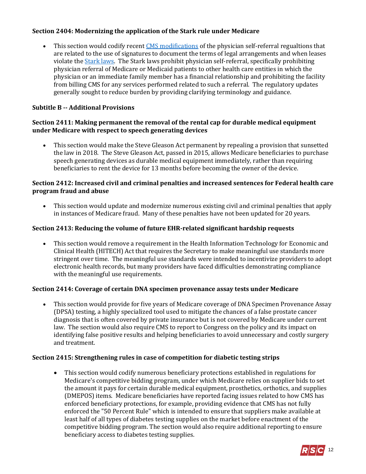# **Section 2404: Modernizing the application of the Stark rule under Medicare**

 This section would codify recen[t CMS modifications](https://www.cms.gov/Newsroom/MediaReleaseDatabase/Fact-sheets/2015-Fact-sheets-items/2015-10-30-2.html) of the physician self-referral regualtions that are related to the use of signatures to document the terms of legal arrangements and when leases violate the [Stark laws.](https://www.cms.gov/Medicare/Fraud-and-Abuse/PhysicianSelfReferral/index.html?redirect=/physicianselfreferral/) The Stark laws prohibit physician self-referral, specifically prohibiting physician referral of Medicare or Medicaid patients to other health care entities in which the physician or an immediate family member has a financial relationship and prohibiting the facility from billing CMS for any services performed related to such a referral. The regulatory updates generally sought to reduce burden by providing clarifying terminology and guidance.

## **Subtitle B -- Additional Provisions**

## **Section 2411: Making permanent the removal of the rental cap for durable medical equipment under Medicare with respect to speech generating devices**

 This section would make the Steve Gleason Act permanent by repealing a provision that sunsetted the law in 2018. The Steve Gleason Act, passed in 2015, allows Medicare beneficiaries to purchase speech generating devices as durable medical equipment immediately, rather than requiring beneficiaries to rent the device for 13 months before becoming the owner of the device.

## **Section 2412: Increased civil and criminal penalties and increased sentences for Federal health care program fraud and abuse**

 This section would update and modernize numerous existing civil and criminal penalties that apply in instances of Medicare fraud. Many of these penalties have not been updated for 20 years.

# **Section 2413: Reducing the volume of future EHR-related significant hardship requests**

 This section would remove a requirement in the Health Information Technology for Economic and Clinical Health (HITECH) Act that requires the Secretary to make meaningful use standards more stringent over time. The meaningful use standards were intended to incentivize providers to adopt electronic health records, but many providers have faced difficulties demonstrating compliance with the meaningful use requirements.

## **Section 2414: Coverage of certain DNA specimen provenance assay tests under Medicare**

 This section would provide for five years of Medicare coverage of DNA Specimen Provenance Assay (DPSA) testing, a highly specialized tool used to mitigate the chances of a false prostate cancer diagnosis that is often covered by private insurance but is not covered by Medicare under current law. The section would also require CMS to report to Congress on the policy and its impact on identifying false positive results and helping beneficiaries to avoid unnecessary and costly surgery and treatment.

## **Section 2415: Strengthening rules in case of competition for diabetic testing strips**

 This section would codify numerous beneficiary protections established in regulations for Medicare's competitive bidding program, under which Medicare relies on supplier bids to set the amount it pays for certain durable medical equipment, prosthetics, orthotics, and supplies (DMEPOS) items. Medicare beneficiaries have reported facing issues related to how CMS has enforced beneficiary protections, for example, providing evidence that CMS has not fully enforced the "50 Percent Rule" which is intended to ensure that suppliers make available at least half of all types of diabetes testing supplies on the market before enactment of the competitive bidding program. The section would also require additional reporting to ensure beneficiary access to diabetes testing supplies.

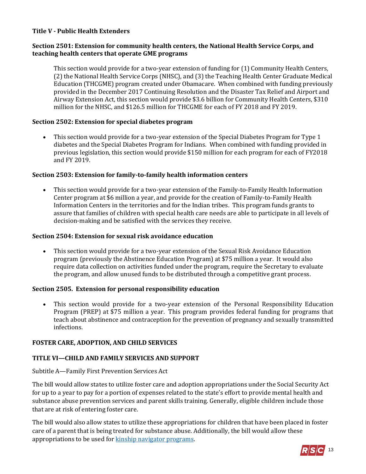## **Title V - Public Health Extenders**

#### **Section 2501: Extension for community health centers, the National Health Service Corps, and teaching health centers that operate GME programs**

This section would provide for a two-year extension of funding for (1) Community Health Centers, (2) the National Health Service Corps (NHSC), and (3) the Teaching Health Center Graduate Medical Education (THCGME) program created under Obamacare. When combined with funding previously provided in the December 2017 Continuing Resolution and the Disaster Tax Relief and Airport and Airway Extension Act, this section would provide \$3.6 billion for Community Health Centers, \$310 million for the NHSC, and \$126.5 million for THCGME for each of FY 2018 and FY 2019.

## **Section 2502: Extension for special diabetes program**

 This section would provide for a two-year extension of the Special Diabetes Program for Type 1 diabetes and the Special Diabetes Program for Indians. When combined with funding provided in previous legislation, this section would provide \$150 million for each program for each of FY2018 and FY 2019.

#### **Section 2503: Extension for family-to-family health information centers**

 This section would provide for a two-year extension of the Family-to-Family Health Information Center program at \$6 million a year, and provide for the creation of Family-to-Family Health Information Centers in the territories and for the Indian tribes. This program funds grants to assure that families of children with special health care needs are able to participate in all levels of decision-making and be satisfied with the services they receive.

#### **Section 2504: Extension for sexual risk avoidance education**

 This section would provide for a two-year extension of the Sexual Risk Avoidance Education program (previously the Abstinence Education Program) at \$75 million a year. It would also require data collection on activities funded under the program, require the Secretary to evaluate the program, and allow unused funds to be distributed through a competitive grant process.

#### **Section 2505. Extension for personal responsibility education**

 This section would provide for a two-year extension of the Personal Responsibility Education Program (PREP) at \$75 million a year. This program provides federal funding for programs that teach about abstinence and contraception for the prevention of pregnancy and sexually transmitted infections.

## **FOSTER CARE, ADOPTION, AND CHILD SERVICES**

## **TITLE VI—CHILD AND FAMILY SERVICES AND SUPPORT**

#### Subtitle A—Family First Prevention Services Act

The bill would allow states to utilize foster care and adoption appropriations under the Social Security Act for up to a year to pay for a portion of expenses related to the state's effort to provide mental health and substance abuse prevention services and parent skills training. Generally, eligible children include those that are at risk of entering foster care.

The bill would also allow states to utilize these appropriations for children that have been placed in foster care of a parent that is being treated for substance abuse. Additionally, the bill would allow these appropriations to be used fo[r kinship navigator programs.](http://www.childrensdefense.org/library/data/FCSIAA-kinship-navigator.pdf)

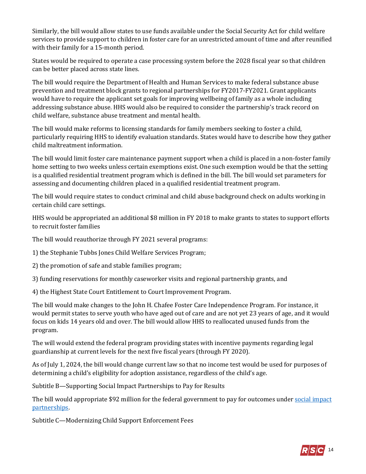Similarly, the bill would allow states to use funds available under the Social Security Act for child welfare services to provide support to children in foster care for an unrestricted amount of time and after reunified with their family for a 15-month period.

States would be required to operate a case processing system before the 2028 fiscal year so that children can be better placed across state lines.

The bill would require the Department of Health and Human Services to make federal substance abuse prevention and treatment block grants to regional partnerships for FY2017-FY2021. Grant applicants would have to require the applicant set goals for improving wellbeing of family as a whole including addressing substance abuse. HHS would also be required to consider the partnership's track record on child welfare, substance abuse treatment and mental health.

The bill would make reforms to licensing standards for family members seeking to foster a child, particularly requiring HHS to identify evaluation standards. States would have to describe how they gather child maltreatment information.

The bill would limit foster care maintenance payment support when a child is placed in a non-foster family home setting to two weeks unless certain exemptions exist. One such exemption would be that the setting is a qualified residential treatment program which is defined in the bill. The bill would set parameters for assessing and documenting children placed in a qualified residential treatment program.

The bill would require states to conduct criminal and child abuse background check on adults working in certain child care settings.

HHS would be appropriated an additional \$8 million in FY 2018 to make grants to states to support efforts to recruit foster families

The bill would reauthorize through FY 2021 several programs:

1) the Stephanie Tubbs Jones Child Welfare Services Program;

2) the promotion of safe and stable families program;

3) funding reservations for monthly caseworker visits and regional partnership grants, and

4) the Highest State Court Entitlement to Court Improvement Program.

The bill would make changes to the John H. Chafee Foster Care Independence Program. For instance, it would permit states to serve youth who have aged out of care and are not yet 23 years of age, and it would focus on kids 14 years old and over. The bill would allow HHS to reallocated unused funds from the program.

The will would extend the federal program providing states with incentive payments regarding legal guardianship at current levels for the next five fiscal years (through FY 2020).

As of July 1, 2024, the bill would change current law so that no income test would be used for purposes of determining a child's eligibility for adoption assistance, regardless of the child's age.

Subtitle B—Supporting Social Impact Partnerships to Pay for Results

The bill would appropriate \$92 million for the federal government to pay for outcomes under social [impact](https://mainstreetadvocacy.com/social-impact-partnerships/)  [partnerships.](https://mainstreetadvocacy.com/social-impact-partnerships/) 

Subtitle C—Modernizing Child Support Enforcement Fees

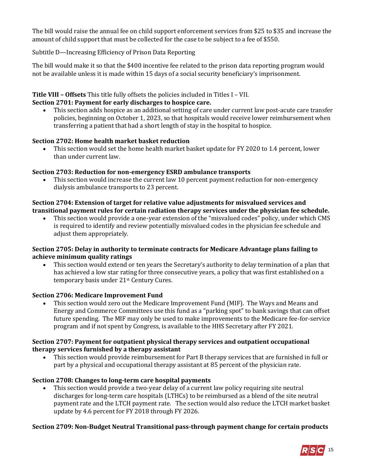The bill would raise the annual fee on child support enforcement services from \$25 to \$35 and increase the amount of child support that must be collected for the case to be subject to a fee of \$550.

# Subtitle D—Increasing Efficiency of Prison Data Reporting

The bill would make it so that the \$400 incentive fee related to the prison data reporting program would not be available unless it is made within 15 days of a social security beneficiary's imprisonment.

# **Title VIII – Offsets** This title fully offsets the policies included in Titles I – VII.

## **Section 2701: Payment for early discharges to hospice care.**

 This section adds hospice as an additional setting of care under current law post-acute care transfer policies, beginning on October 1, 2023, so that hospitals would receive lower reimbursement when transferring a patient that had a short length of stay in the hospital to hospice.

## **Section 2702: Home health market basket reduction**

 This section would set the home health market basket update for FY 2020 to 1.4 percent, lower than under current law.

## **Section 2703: Reduction for non-emergency ESRD ambulance transports**

 This section would increase the current law 10 percent payment reduction for non-emergency dialysis ambulance transports to 23 percent.

# **Section 2704: Extension of target for relative value adjustments for misvalued services and transitional payment rules for certain radiation therapy services under the physician fee schedule.**

 This section would provide a one-year extension of the "misvalued codes" policy, under which CMS is required to identify and review potentially misvalued codes in the physician fee schedule and adjust them appropriately.

## **Section 2705: Delay in authority to terminate contracts for Medicare Advantage plans failing to achieve minimum quality ratings**

 This section would extend or ten years the Secretary's authority to delay termination of a plan that has achieved a low star rating for three consecutive years, a policy that was first established on a temporary basis under 21st Century Cures.

## **Section 2706: Medicare Improvement Fund**

 This section would zero out the Medicare Improvement Fund (MIF). The Ways and Means and Energy and Commerce Committees use this fund as a "parking spot" to bank savings that can offset future spending. The MIF may only be used to make improvements to the Medicare fee-for-service program and if not spent by Congress, is available to the HHS Secretary after FY 2021.

## **Section 2707: Payment for outpatient physical therapy services and outpatient occupational therapy services furnished by a therapy assistant**

 This section would provide reimbursement for Part B therapy services that are furnished in full or part by a physical and occupational therapy assistant at 85 percent of the physician rate.

## **Section 2708: Changes to long-term care hospital payments**

 This section would provide a two-year delay of a current law policy requiring site neutral discharges for long-term care hospitals (LTHCs) to be reimbursed as a blend of the site neutral payment rate and the LTCH payment rate. The section would also reduce the LTCH market basket update by 4.6 percent for FY 2018 through FY 2026.

## **Section 2709: Non-Budget Neutral Transitional pass-through payment change for certain products**

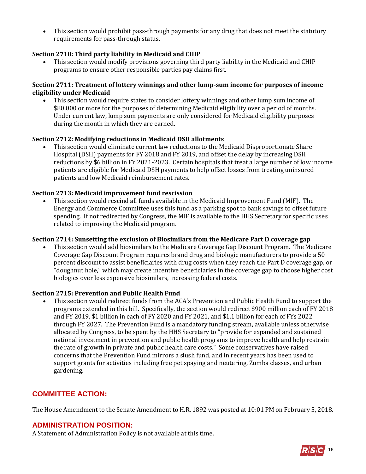This section would prohibit pass-through payments for any drug that does not meet the statutory requirements for pass-through status.

## **Section 2710: Third party liability in Medicaid and CHIP**

 This section would modify provisions governing third party liability in the Medicaid and CHIP programs to ensure other responsible parties pay claims first.

## **Section 2711: Treatment of lottery winnings and other lump-sum income for purposes of income eligibility under Medicaid**

 This section would require states to consider lottery winnings and other lump sum income of \$80,000 or more for the purposes of determining Medicaid eligibility over a period of months. Under current law, lump sum payments are only considered for Medicaid eligibility purposes during the month in which they are earned.

## **Section 2712: Modifying reductions in Medicaid DSH allotments**

 This section would eliminate current law reductions to the Medicaid Disproportionate Share Hospital (DSH) payments for FY 2018 and FY 2019, and offset the delay by increasing DSH reductions by \$6 billion in FY 2021-2023. Certain hospitals that treat a large number of low income patients are eligible for Medicaid DSH payments to help offset losses from treating uninsured patients and low Medicaid reimbursement rates.

## **Section 2713: Medicaid improvement fund rescission**

 This section would rescind all funds available in the Medicaid Improvement Fund (MIF). The Energy and Commerce Committee uses this fund as a parking spot to bank savings to offset future spending. If not redirected by Congress, the MIF is available to the HHS Secretary for specific uses related to improving the Medicaid program.

## **Section 2714: Sunsetting the exclusion of Biosimilars from the Medicare Part D coverage gap**

 This section would add biosimilars to the Medicare Coverage Gap Discount Program. The Medicare Coverage Gap Discount Program requires brand drug and biologic manufacturers to provide a 50 percent discount to assist beneficiaries with drug costs when they reach the Part D coverage gap, or "doughnut hole," which may create incentive beneficiaries in the coverage gap to choose higher cost biologics over less expensive biosimilars, increasing federal costs.

## **Section 2715: Prevention and Public Health Fund**

 This section would redirect funds from the ACA's Prevention and Public Health Fund to support the programs extended in this bill. Specifically, the section would redirect \$900 million each of FY 2018 and FY 2019, \$1 billion in each of FY 2020 and FY 2021, and \$1.1 billion for each of FYs 2022 through FY 2027. The Prevention Fund is a mandatory funding stream, available unless otherwise allocated by Congress, to be spent by the HHS Secretary to "provide for expanded and sustained national investment in prevention and public health programs to improve health and help restrain the rate of growth in private and public health care costs." Some conservatives have raised concerns that the Prevention Fund mirrors a slush fund, and in recent years has been used to support grants for activities including free pet spaying and neutering, Zumba classes, and urban gardening.

# **COMMITTEE ACTION:**

The House Amendment to the Senate Amendment to H.R. 1892 was posted at 10:01 PM on February 5, 2018.

## **ADMINISTRATION POSITION:**

A Statement of Administration Policy is not available at this time.